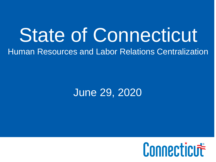### State of Connecticut Human Resources and Labor Relations Centralization

### June 29, 2020

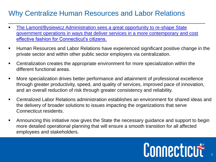#### Why Centralize Human Resources and Labor Relations

- <u>The Lamont/Bysiewicz Administration sees a great opportunity to re-shape State</u> [government operations in ways that deliver services in a more contemporary and cost](https://www.theday.com/article/20190226/NWS01/190229549)  effective fashion for Connecticut's citizens.
- Human Resources and Labor Relations have experienced significant positive change in the private sector and within other public sector employers via centralization.
- Centralization creates the appropriate environment for more specialization within the different functional areas.
- More specialization drives better performance and attainment of professional excellence through greater productivity, speed, and quality of services, improved pace of innovation, and an overall reduction of risk through greater consistency and reliability.
- Centralized Labor Relations administration establishes an environment for shared ideas and the delivery of broader solutions to issues impacting the organizations that serve Connecticut residents.
- Announcing this initiative now gives the State the necessary guidance and support to begin more detailed operational planning that will ensure a smooth transition for all affected employees and stakeholders.

# Connecticut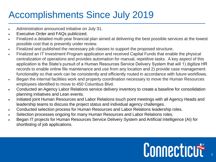### Accomplishments Since July 2019

- Administration announced initiative on July 31.
- Executive Order and FAQs publicized.
- Finalized a detailed multi-year financial plan aimed at delivering the best possible services at the lowest possible cost that is presently under review.
- Finalized and published the necessary job classes to support the proposed structure.
- Finalized an IT Investment Program application and received Capital Funds that enable the physical centralization of operations and provides automation for manual, repetitive tasks. A key aspect of this application is the State's pursuit of a Human Resources Service Delivery System that will 1) digitize HR records to enable online file maintenance and use from any location and 2) provide case management functionality so that work can be consistently and efficiently routed in accordance with future workflows.
- Began the internal facilities work and property coordination necessary to move the Human Resources employees identified to move to 450 Columbus Blvd.
- Conducted an Agency Labor Relations service delivery inventory to create a baseline for consolidation planning initiatives and Lean events.
- Initiated joint Human Resources and Labor Relations touch point meetings with all Agency Heads and leadership teams to discuss the project status and individual agency challenges.
- Conducted selection process for Human Resources and Labor Relations leadership roles.
- Selection processes ongoing for many Human Resources and Labor Relations roles.
- Began IT projects for Human Resources Service Delivery System and Artificial Intelligence (AI) for shortlisting of job applications.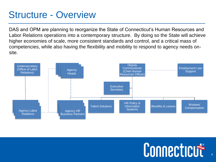#### Structure - Overview

DAS and OPM are planning to reorganize the State of Connecticut's Human Resources and Labor Relations operations into a contemporary structure. By doing so the State will achieve higher economies of scale, more consistent standards and control, and a critical mass of competencies, while also having the flexibility and mobility to respond to agency needs onsite.

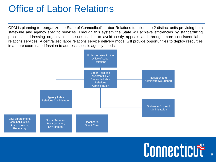#### Office of Labor Relations

OPM is planning to reorganize the State of Connecticut's Labor Relations function into 2 distinct units providing both statewide and agency specific services. Through this system the State will achieve efficiencies by standardizing practices, addressing organizational issues earlier to avoid costly appeals and through more consistent labor relations services. A centralized labor relations service delivery model will provide opportunities to deploy resources in a more coordinated fashion to address specific agency needs.



### Connecticut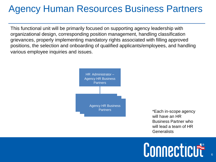### Agency Human Resources Business Partners

This functional unit will be primarily focused on supporting agency leadership with organizational design, corresponding position management, handling classification grievances, properly implementing mandatory rights associated with filling approved positions, the selection and onboarding of qualified applicants/employees, and handling various employee inquiries and issues.



Partners **Each in-scope agency** will have an HR Business Partner who will lead a team of HR **Generalists**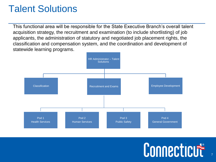### Talent Solutions

This functional area will be responsible for the State Executive Branch's overall talent acquisition strategy, the recruitment and examination (to include shortlisting) of job applicants, the administration of statutory and negotiated job placement rights, the classification and compensation system, and the coordination and development of statewide learning programs.



## Connecticut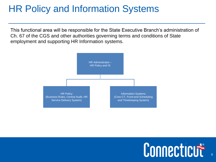### HR Policy and Information Systems

This functional area will be responsible for the State Executive Branch's administration of Ch. 67 of the CGS and other authorities governing terms and conditions of State employment and supporting HR Information systems.

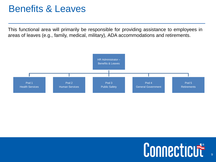#### Benefits & Leaves

This functional area will primarily be responsible for providing assistance to employees in areas of leaves (e.g., family, medical, military), ADA accommodations and retirements.

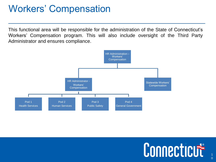### Workers' Compensation

This functional area will be responsible for the administration of the State of Connecticut's Workers' Compensation program. This will also include oversight of the Third Party Administrator and ensures compliance.

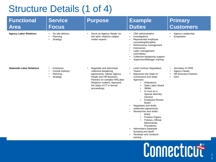### Structure Details (1 of 4)

| <b>Functional</b><br><b>Area</b> | <b>Service</b><br><b>Focus</b>                                                  | <b>Purpose</b>                                                                                                                                                                                                                           | <b>Example</b><br><b>Duties</b>                                                                                                                                                                                                                                                                                                                                                                                                                                                                                                                                                                                               | <b>Primary</b><br><b>Customers</b>                                                         |
|----------------------------------|---------------------------------------------------------------------------------|------------------------------------------------------------------------------------------------------------------------------------------------------------------------------------------------------------------------------------------|-------------------------------------------------------------------------------------------------------------------------------------------------------------------------------------------------------------------------------------------------------------------------------------------------------------------------------------------------------------------------------------------------------------------------------------------------------------------------------------------------------------------------------------------------------------------------------------------------------------------------------|--------------------------------------------------------------------------------------------|
| <b>Agency Labor Relations</b>    | On-site delivery<br>$\bullet$<br>Planning<br>Strategy                           | Serve as Agency Heads' on-<br>site labor relations subject<br>matter experts                                                                                                                                                             | CBA administration<br>$\bullet$<br>Investigations<br>Represented employee<br>$\bullet$<br>counseling/discipline<br>Performance management<br>$\bullet$<br>Grievances<br>Labor management<br>$\bullet$<br>committees<br>Collective bargaining support<br>$\bullet$<br>Supervisor/Manager training                                                                                                                                                                                                                                                                                                                              | Agency Leadership<br>$\bullet$<br>Employees                                                |
| <b>Statewide Labor Relations</b> | Enterprise<br><b>Central Delivery</b><br>Planning<br>$\bullet$<br>Strategy<br>٠ | Negotiate and administer<br>$\bullet$<br>collective bargaining<br>agreements; advise Agency<br><b>Heads and HR Business</b><br>Partners on complex HR/Labor<br>Relations matters; represent<br>the State of CT in formal<br>proceedings. | <b>Lead Contract Negotiation</b><br>$\bullet$<br>Teams<br>Represent the State of<br><b>Connecticut and State</b><br>Agencies:<br>Arbitrations<br>$\bullet$<br>State Labor Board<br>$\bullet$<br><b>SBMA</b><br>In court as a<br>$\bullet$<br><b>Special Attorney</b><br>General<br><b>Employee Review</b><br>Board<br>Negotiates and drafts<br>$\bullet$<br>settlement agreements<br>Researches and drafts:<br><b>Briefs</b><br>$\bullet$<br><b>Position Papers</b><br>Policies, Official<br>Memoranda,<br>Procedures<br><b>Administers Statewide</b><br>$\bullet$<br>bumping and layoff<br>Develops and conducts<br>training | Secretary of OPM<br>$\bullet$<br>Agency Heads<br><b>HR Business Partners</b><br><b>DAS</b> |
|                                  |                                                                                 |                                                                                                                                                                                                                                          |                                                                                                                                                                                                                                                                                                                                                                                                                                                                                                                                                                                                                               | Connecticut                                                                                |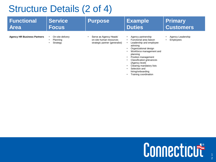### Structure Details (2 of 4)

| <b>Functional</b>                  | <b>Service</b>                           | <b>Purpose</b>                                                                      | <b>Example</b>                                                                                                                                                                                                                                                                                                                                                            | <b>Primary</b>                              |
|------------------------------------|------------------------------------------|-------------------------------------------------------------------------------------|---------------------------------------------------------------------------------------------------------------------------------------------------------------------------------------------------------------------------------------------------------------------------------------------------------------------------------------------------------------------------|---------------------------------------------|
| <b>Area</b>                        | <b>Focus</b>                             |                                                                                     | <b>Duties</b>                                                                                                                                                                                                                                                                                                                                                             | <b>Customers</b>                            |
| <b>Agency HR Business Partners</b> | On-site delivery<br>Planning<br>Strategy | Serve as Agency Heads'<br>on-site human resources<br>strategic partner (generalist) | Agency partnership<br>$\bullet$<br>Functional area liaison<br>Leadership and employee<br>$\bullet$<br>advising<br>Organizational design<br>Workforce management and<br>planning<br>Position management<br>$\bullet$<br><b>Classification grievances</b><br>(Agency level)<br>Clearing mandatory lists<br>Selection and<br>٠<br>hiring/onboarding<br>Training coordination | Agency Leadership<br>$\bullet$<br>Employees |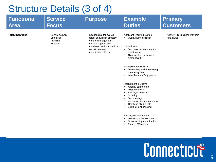### Structure Details (3 of 4)

| <b>Functional</b><br><b>Area</b> | <b>Service</b><br><b>Focus</b>                         | <b>Purpose</b>                                                                                                                                                                             | <b>Example</b><br><b>Duties</b>                                                                                                                                                                                                                                                                                                                                                                                                                                                                                                                                                                                                                   | <b>Primary</b><br><b>Customers</b>               |
|----------------------------------|--------------------------------------------------------|--------------------------------------------------------------------------------------------------------------------------------------------------------------------------------------------|---------------------------------------------------------------------------------------------------------------------------------------------------------------------------------------------------------------------------------------------------------------------------------------------------------------------------------------------------------------------------------------------------------------------------------------------------------------------------------------------------------------------------------------------------------------------------------------------------------------------------------------------------|--------------------------------------------------|
| <b>Talent Solutions</b>          | Central delivery<br>Enterprise<br>Planning<br>Strategy | Responsible for overall<br>$\bullet$<br>talent acquisition strategy,<br>vendor management,<br>system support, and<br>consistent and standardized<br>recruitment and<br>examination efforts | <b>Applicant Tracking System</b><br>• Overall administration<br>Classification<br>Job class development and<br>$\bullet$<br>maintenance<br><b>Classification grievances</b><br>$\bullet$<br>(State level)<br>Reemployment/SEBAC<br>Developing and maintaining<br>mandatory lists<br>Less Arduous Duty process<br><b>Recruitment &amp; Exams</b><br>Agency partnership<br>Digital recruiting<br><b>Employer branding</b><br>Sourcing<br>Job openings<br>Administer Appeals process<br>Certifying eligible lists<br>Eligible list shortlisting<br>Employee Development<br>Leadership development<br>Other training coordination<br>Future LMS admin | <b>Agency HR Business Partners</b><br>Applicants |
|                                  |                                                        |                                                                                                                                                                                            |                                                                                                                                                                                                                                                                                                                                                                                                                                                                                                                                                                                                                                                   | Connecticut                                      |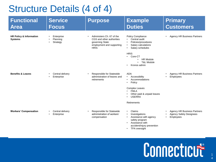### Structure Details (4 of 4)

| <b>Functional</b><br><b>Area</b>                     | <b>Service</b><br><b>Focus</b>                   | <b>Purpose</b>                                                                                                        | <b>Example</b><br><b>Duties</b>                                                                                                                                                                                                                   | <b>Primary</b><br><b>Customers</b>                                                |
|------------------------------------------------------|--------------------------------------------------|-----------------------------------------------------------------------------------------------------------------------|---------------------------------------------------------------------------------------------------------------------------------------------------------------------------------------------------------------------------------------------------|-----------------------------------------------------------------------------------|
| <b>HR Policy &amp; Information</b><br><b>Systems</b> | Enterprise<br>Planning<br>Strategy<br>$\bullet$  | Administers Ch. 67 of the<br>CGS and other authorities<br>governing State<br>employment and supporting<br><b>HRIS</b> | <b>Policy Compliance</b><br>Central audit<br>$\bullet$<br>Policies/procedures<br>Salary calculations<br>$\bullet$<br>Salary schedules<br>$\bullet$<br><b>HRIS</b><br>$\cdot$ Core-CT<br><b>HR Module</b><br><b>T&amp;L Module</b><br>Kronos admin | <b>Agency HR Business Partners</b>                                                |
| <b>Benefits &amp; Leaves</b>                         | Central delivery<br>$\bullet$<br>Enterprise<br>٠ | Responsible for Statewide<br>administration of leaves and<br>retirements                                              | <b>ADA</b><br>Accessibility<br>$\bullet$<br>Accommodations<br>Policy<br>٠<br><b>Complex Leaves</b><br><b>FMLA</b><br>$\bullet$<br>Other paid & unpaid leaves<br><b>USERRA</b><br><b>Retirements</b>                                               | <b>Agency HR Business Partners</b><br>Employees                                   |
| <b>Workers' Compensation</b>                         | Central delivery<br>Enterprise                   | Responsible for Statewide<br>$\bullet$<br>administration of workers'<br>compensation                                  | Claims<br>$\bullet$<br>Investigations<br>Assistance with agency<br>safety program<br>Assistance with<br>accident/injury prevention                                                                                                                | <b>Agency HR Business Partners</b><br><b>Agency Safety Designees</b><br>Employees |

• TPA oversight

4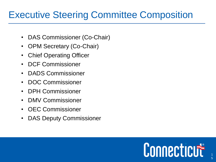### Executive Steering Committee Composition

- DAS Commissioner (Co-Chair)
- OPM Secretary (Co-Chair)
- Chief Operating Officer
- DCF Commissioner
- DADS Commissioner
- DOC Commissioner
- DPH Commissioner
- DMV Commissioner
- OEC Commissioner
- DAS Deputy Commissioner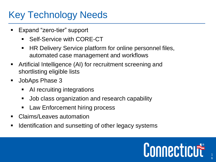### Key Technology Needs

- Expand "zero-tier" support
	- Self-Service with CORE-CT
	- HR Delivery Service platform for online personnel files, automated case management and workflows
- Artificial Intelligence (AI) for recruitment screening and shortlisting eligible lists
- JobAps Phase 3
	- AI recruiting integrations
	- Job class organization and research capability
	- Law Enforcement hiring process
- Claims/Leaves automation
- Identification and sunsetting of other legacy systems

# Connecticute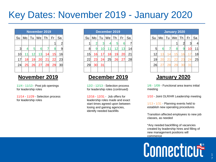#### Key Dates: November 2019 - January 2020

| <b>November 2019</b> |    |    |    |    |    |                |  |
|----------------------|----|----|----|----|----|----------------|--|
| Su                   | Mo | Tu | We | Th | Fr | Sa             |  |
|                      |    |    |    |    |    | $\overline{2}$ |  |
| 3                    | 4  | 5  | 6  |    | 8  | 9              |  |
| 10                   | 11 | 12 | 13 | 14 | 15 | 16             |  |
| 17                   | 18 | 19 | 20 | 21 | 22 | 23             |  |
| 24                   | 25 | 26 | 27 | 28 | 29 | 30             |  |
|                      |    |    |    |    |    |                |  |

#### **November 2019**

11/4 - 11/13 - Post job openings for leadership roles

11/14 - 11/29 - Selection process for leadership roles

|    | December 2019 |    |    |    |    |    |  |
|----|---------------|----|----|----|----|----|--|
| Su | Mo            | Tu | We | Th | Fr | Sa |  |
|    | 2             | З  | 4  | 5  | 6  | 7  |  |
| 8  | 9             | 10 | 11 | 12 | 13 | 14 |  |
| 15 | 16            | 17 | 18 | 19 | 20 | 21 |  |
| 22 | 23            | 24 | 25 | 26 | 27 | 28 |  |
| 29 | 30            | 31 |    |    |    |    |  |
|    |               |    |    |    |    |    |  |

#### **December 2019**

12/2 - 12/13 - Selection process for leadership roles (continued)

12/16 - 12/31 - Job offers for leadership roles made and exact start times agreed upon between losing and gaining agencies, identify needed backfills

| January 2020 |    |    |    |                |    |    |  |
|--------------|----|----|----|----------------|----|----|--|
| Su           | Mo | Tu | We | Th             | Fr | Sa |  |
|              |    |    |    | $\overline{2}$ | 3  |    |  |
| 5            | 6  |    | 8  | 9              | 10 | 11 |  |
| 12           | 13 | 14 | 15 | 16             | 17 | 18 |  |
| 19           | 20 | 21 | 22 | 23             | 24 | 25 |  |
| 26           | 27 | 28 | 29 | 30             | 31 |    |  |
|              |    |    |    |                |    |    |  |

#### **January 2020**

1/6 - 1/09 - Functional area teams initial meeting

1/10 - Joint OLR/HR Leadership meeting

1/13 - 1/31 - Planning events held to establish new operating procedures

Transition affected employees to new job classes, as needed

\*Any needed backfilling of vacancies created by leadership hires and filling of new management positions will commence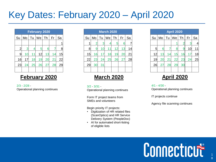#### Key Dates: February 2020 – April 2020

| <b>February 2020</b> |    |    |    |    |    |    |  |
|----------------------|----|----|----|----|----|----|--|
| Su                   | Mo | Tu | We | Th | Fr | Sa |  |
|                      |    |    |    |    |    |    |  |
| $\overline{2}$       | 3  | 4  | 5  | 6  |    | 8  |  |
| 9                    | 10 | 11 | 12 | 13 | 14 | 15 |  |
| 16                   | 17 | 18 | 19 | 20 | 21 | 22 |  |
| 23                   | 24 | 25 | 26 | 27 | 28 | 29 |  |
|                      |    |    |    |    |    |    |  |

#### **February 2020**

2/3 - 2/28 - Operational planning continues

|    | <b>March 2020</b> |    |    |    |    |    |  |
|----|-------------------|----|----|----|----|----|--|
| Su | Mo                | Tu | We | Th | Fr | Sa |  |
|    | $\overline{2}$    | 3  | 4  | 5  | 6  |    |  |
| 8  | 9                 | 10 | 11 | 12 | 13 | 14 |  |
| 15 | 16                | 17 | 18 | 19 | 20 | 21 |  |
| 22 | 23                | 24 | 25 | 26 | 27 | 28 |  |
| 29 | 30                | 31 |    |    |    |    |  |
|    |                   |    |    |    |    |    |  |

#### **March 2020**

 $3/2 - 3/31$ Operational planning continues

Form IT project teams from SMEs and volunteers

Begin priority IT projects:

- Digitization of HR related files (ScanOptics) and HR Service Delivery System (PeopleDoc)
- AI for automated short-listing of eligible lists

| <b>April 2020</b> |    |    |    |                |    |    |  |
|-------------------|----|----|----|----------------|----|----|--|
| Su                | Mo | Tu | We | Th             | Fr | Sa |  |
|                   |    |    |    | $\overline{2}$ | 3  |    |  |
| 5                 | 6  |    | 8  | 9              | 10 | 11 |  |
| 12                | 13 | 14 | 15 | 16             | 17 | 18 |  |
| 19                | 20 | 21 | 22 | 23             | 24 | 25 |  |
| 26                | 27 | 28 | 29 | 30             |    |    |  |
|                   |    |    |    |                |    |    |  |

#### **April 2020**

 $4/1 - 4/30 -$ Operational planning continues

IT projects continue

Agency file scanning continues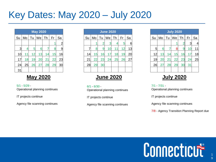#### Key Dates: May 2020 – July 2020

|    | <b>May 2020</b> |    |    |    |    |                |  |  |
|----|-----------------|----|----|----|----|----------------|--|--|
| Su | Mo              | Tu | We | Th | Fr | Sa             |  |  |
|    |                 |    |    |    |    | $\overline{2}$ |  |  |
| 3  | 4               | 5  | 6  |    | 8  | 9              |  |  |
| 10 | 11              | 12 | 13 | 14 | 15 | 16             |  |  |
| 17 | 18              | 19 | 20 | 21 | 22 | 23             |  |  |
| 24 | 25              | 26 | 27 | 28 | 29 | 30             |  |  |
| 31 |                 |    |    |    |    |                |  |  |

#### **May 2020**

 $5/1 - 5/29 -$ Operational planning continues

IT projects continue

Agency file scanning continues

|    | <b>June 2020</b> |    |    |    |    |    |  |
|----|------------------|----|----|----|----|----|--|
| Su | Mo               | Tu | We | Th | Fr | Sa |  |
|    |                  | 2  | 3  | 4  | 5  | 6  |  |
|    | 8                | 9  | 10 | 11 | 12 | 13 |  |
| 14 | 15               | 16 | 17 | 18 | 19 | 20 |  |
| 21 | 22               | 23 | 24 | 25 | 26 | 27 |  |
| 28 | 29               | 30 |    |    |    |    |  |
|    |                  |    |    |    |    |    |  |

#### **June 2020**

 $6/1 - 6/30 -$ Operational planning continues

IT projects continue

Agency file scanning continues

| <b>July 2020</b> |    |    |    |    |    |    |  |  |
|------------------|----|----|----|----|----|----|--|--|
| Su               | Mo | Tu | We | Th | Fr | Sa |  |  |
|                  |    |    |    | 2  | 3  | 4  |  |  |
| 5                | 6  |    | 8  | 9  | 10 | 11 |  |  |
| 12               | 13 | 14 | 15 | 16 | 17 | 18 |  |  |
| 19               | 20 | 21 | 22 | 23 | 24 | 25 |  |  |
| 26               | 27 | 28 | 29 | 30 | 31 |    |  |  |
|                  |    |    |    |    |    |    |  |  |

#### **July 2020**

 $7/1 - 7/31 -$ Operational planning continues

IT projects continue

Agency file scanning continues

7/8 - Agency Transition Planning Report due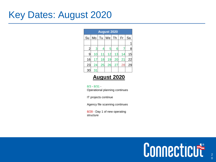#### Key Dates: August 2020

| <b>August 2020</b> |    |    |    |    |    |    |  |  |  |
|--------------------|----|----|----|----|----|----|--|--|--|
| Su                 | Mo | Tu | We | Th | Fr | Sa |  |  |  |
|                    |    |    |    |    |    |    |  |  |  |
| $\overline{2}$     | 3  | 4  | 5  | 6  |    | 8  |  |  |  |
| 9                  | 10 | 11 | 12 | 13 | 14 | 15 |  |  |  |
| 16                 | 17 | 18 | 19 | 20 | 21 | 22 |  |  |  |
| 23                 | 24 | 25 | 26 | 27 | 28 | 29 |  |  |  |
| 3 <sub>C</sub>     | 31 |    |    |    |    |    |  |  |  |

#### **August 2020**

#### 8/3 - 8/31 - Operational planning continues

IT projects continue

Agency file scanning continues

8/28 - Day 1 of new operating structure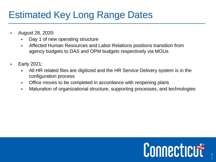### Estimated Key Long Range Dates

- August 28, 2020:
	- Day 1 of new operating structure
	- Affected Human Resources and Labor Relations positions transition from agency budgets to DAS and OPM budgets respectively via MOUs
- Early 2021:
	- All HR related files are digitized and the HR Service Delivery system is in the configuration process
	- **Office moves to be completed in accordance with reopening plans**
	- Maturation of organizational structure, supporting processes, and technologies

# Connecticut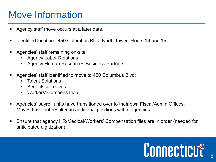### Move Information

- Agency staff move occurs at a later date.
- Identified location: 450 Columbus Blvd, North Tower, Floors 14 and 15
- Agencies' staff remaining on-site:
	- **Agency Labor Relations**
	- Agency Human Resources Business Partners
- Agencies' staff identified to move to 450 Columbus Blvd:
	- **E** Talent Solutions
	- Benefits & Leaves
	- Workers' Compensation
- Agencies' payroll units have transitioned over to their own Fiscal/Admin Offices. Moves have not resulted in additional positions within agencies.
- Ensure that agency HR/Medical/Workers' Compensation files are in order (needed for anticipated digitization)